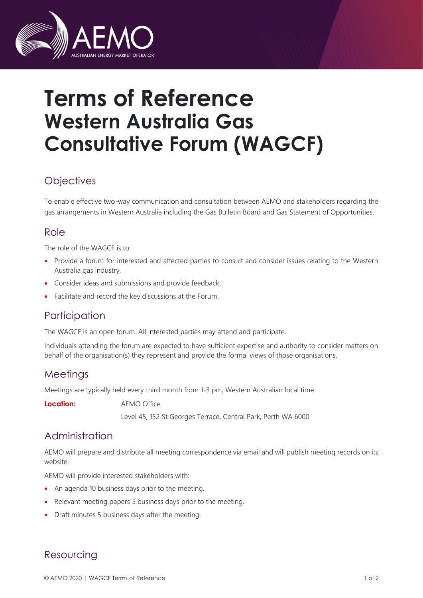

# **Terms of Reference Western Australia Gas Consultative Forum (WAGCF)**

## **Objectives**

To enable effective two-way communication and consultation between AEMO and stakeholders regarding the gas arrangements in Western Australia including the Gas Bulletin Board and Gas Statement of Opportunities.

#### Role

The role of the WAGCF is to:

- Provide a forum for interested and affected parties to consult and consider issues relating to the Western Australia gas industry.
- Consider ideas and submissions and provide feedback.
- Facilitate and record the key discussions at the Forum.

## **Participation**

The WAGCF is an open forum. All interested parties may attend and participate.

Individuals attending the forum are expected to have sufficient expertise and authority to consider matters on behalf of the organisation(s) they represent and provide the formal views of those organisations.

#### **Meetings**

Meetings are typically held every third month from 1-3 pm, Western Australian local time.

**Location:** AEMO Office Level 45, 152 St Georges Terrace, Central Park, Perth WA 6000

## Administration

AEMO will prepare and distribute all meeting correspondence via email and will publish meeting records on its website.

AEMO will provide interested stakeholders with:

- An agenda 10 business days prior to the meeting.
- Relevant meeting papers 5 business days prior to the meeting.
- Draft minutes 5 business days after the meeting.

## Resourcing